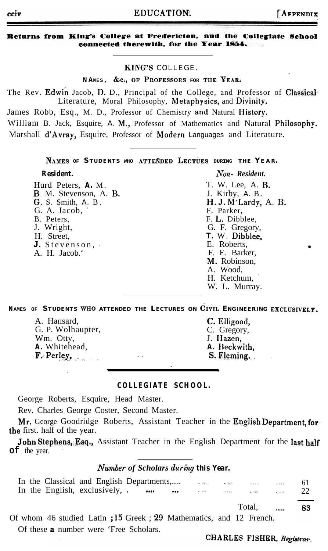## EDUCATION.

#### Returns from King's College at Fredericton, and the Collegiate School connected therewith, for the Year 1854.

#### KING'S COLLEGE.

NAMES, &c., OF PROFESSORS FOR THE YEAR.

The Rev. Edwin Jacob, D. D., Principal of the College, and Professor of Classical Literature, Moral Philosophy, Metaphysics, and Divinity.

James Robb, Esq., M. D., Professor of Chemistry and Natural History.

William B. Jack, Esquire, A. M., Professor of Mathematics and Natural Philosophy. Marshall d'Avray, Esquire, Professor of Modern Languages and Literature.

NAMES OF STUDENTS WHO ATTENDED LECTUES DURING THE YEAR.

#### **Resident.**

Hurd Peters, A. M. B. M. Stevenson, A. B. G. S. Smith, A. B. G. A. Jacob. B. Peters, J. Wright, H. Street, J. Stevenson, A. H. Jacob.

#### Non-Resident.

T. W. Lee. A. B. J. Kirby, A. B.  $H. J. M'$ Lardy, A. B. F. Parker, F. L. Dibblee, G. F. Gregory, T. W. Dibblee. E. Roberts, F. E. Barker, M. Robinson, A. Wood. H. Ketchum, W. L. Murray.

NAMES OF STUDENTS WHO ATTENDED THE LECTURES ON CIVIL ENGINEERING EXCLUSIVELY.

| A. Hansard,              | C. Elligood,  |
|--------------------------|---------------|
| G. P. Wolhaupter,        | C. Gregory,   |
| Wm. Otty,                | J. Hazen.     |
| A. Whitehead,            | A. Beckwith.  |
| $F.$ Perley,<br>$30 - 2$ | $S.$ Fleming. |

### COLLEGIATE SCHOOL.

George Roberts, Esquire, Head Master.

Rev. Charles George Coster, Second Master.

Mr. George Goodridge Roberts, Assistant Teacher in the English Department, for the first. half of the year.

John Stephens, Esq., Assistant Teacher in the English Department for the last half  $\sigma f$  the year.

### **Number of Scholars during this Year.**

|  | In the Classical and English Departments, $\qquad \qquad$ |  |  |  |             |    |
|--|-----------------------------------------------------------|--|--|--|-------------|----|
|  |                                                           |  |  |  |             | 22 |
|  |                                                           |  |  |  | Total, , 83 |    |

Of whom 46 studied Latin ; 15 Greek ; 29 Mathematics, and 12 French.

Of these **a** number were 'Free Scholars.

### CHARLES FISHER, Registrar.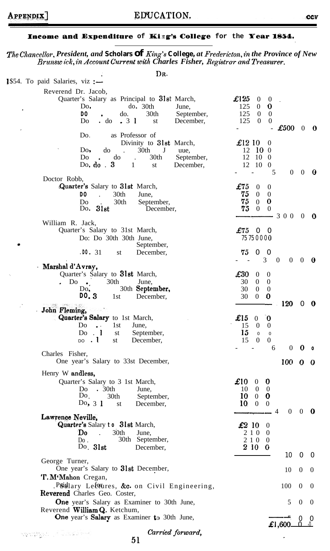### Income and Expenditure of King's College for the Year 1854.

The Chancellor, President, and Scholars of King's College, at Fredericton, in the Province of New<br>Brunsw ick, in Account Current with Charles Fisher, Registrar and Treasurer.

| DR.                                                                                                                                                                                                                         |                                                                                                                                                                    |                           |                       |
|-----------------------------------------------------------------------------------------------------------------------------------------------------------------------------------------------------------------------------|--------------------------------------------------------------------------------------------------------------------------------------------------------------------|---------------------------|-----------------------|
| 1\$54. To paid Salaries, viz :-                                                                                                                                                                                             |                                                                                                                                                                    |                           |                       |
| Reverend Dr. Jacob,<br>Quarter's Salary as Principal to 31st March,<br>do. 30th<br>Do.<br>June,<br>30th<br>DO.<br>do.<br>September,<br>.31<br>$\cdot$ do<br>December,<br>Do.<br>st                                          | $\pounds$ 125<br>$0\quad 0$<br>125<br>$\overline{0}$<br>$\boldsymbol{0}$<br>125<br>$\overline{0}$<br>$\overline{0}$<br>125<br>$\bf{0}$<br>$\mathbf{0}$<br>£500     | $\overline{0}$            | 0                     |
| as Professor of<br>Do.<br>Divinity to 31st March,<br>$30th$ J<br>Do,<br>do<br>$\ddot{\phantom{a}}$<br>uue,<br>September,<br>do<br>30th<br>Do<br>$\Delta$<br>Do. do $.3$<br>$\mathbf{1}$<br>December,<br>st                  | $\pounds$ 12 10<br>$\theta$<br>$12 \t10 \t0$<br>12 10 0<br>12 10 0<br>5<br>$\overline{0}$                                                                          | $\overline{0}$            | O                     |
| Doctor Robb,                                                                                                                                                                                                                |                                                                                                                                                                    |                           |                       |
| Quarter's Salary to 31st March,<br>30th<br>DO.<br>$\mathbf{A}$<br>June,<br>30th<br>September,<br>Do.<br>Do. $31st$<br>December,                                                                                             | $\pounds 75$<br>$\overline{0}$<br>$\overline{0}$<br>75<br>$\mathbf{0}$<br>$\theta$<br>75<br>0<br>$\overline{0}$<br>75<br>$\overline{0}$<br>$\mathbf{0}$            |                           |                       |
| William R. Jack,<br>Quarter's Salary to 31st March,<br>Do: Do 30th 30th June,<br>September,<br>. D0.31<br>December,<br>st                                                                                                   | $-300$<br>£7500<br>75 75 0 0 0 0<br>75<br>$\overline{0}$<br>- 0                                                                                                    | $\mathbf{0}$ $\mathbf{0}$ |                       |
| Marshal d'Avray,                                                                                                                                                                                                            | 3<br>$\overline{0}$<br>$\overline{0}$                                                                                                                              | $\theta$                  | - 0                   |
| Quarter's Salary to 31st March,<br>30th<br>$Do \bullet$ .<br>June,<br>30th September,<br>Do.<br>D0.3<br>1st<br>December,                                                                                                    | $\pounds30$<br>$\overline{0}$<br>$\boldsymbol{0}$<br>$0\quad 0$<br>30<br>30<br>$\overline{0}$<br>$\boldsymbol{0}$<br>30<br>$\overline{0}$<br>$\boldsymbol{0}$      |                           |                       |
| eta alem<br>John Fleming,<br>Quarter's Salary to 1st March,<br>1st<br>D <sub>o</sub><br>$\bullet$ $\bullet$ $\bullet$ $\bullet$ $\bullet$<br>June,<br>$Do$ $1$<br>September,<br>st<br>$_{\text{DO}}$ . 1<br>st<br>December, | 120<br>$\pounds$ 15<br>$\mathbf 0$<br>$\overline{0}$<br>15<br>$\overline{0}$<br>$\theta$<br>15<br>$\mathbf{0}$<br>$\mathbf{0}$<br>15<br>$\theta$<br>$\overline{0}$ | $\Omega$                  | $\boldsymbol{\theta}$ |
| Charles Fisher,                                                                                                                                                                                                             | $\overline{0}$<br>6                                                                                                                                                | 0                         | $\circ$               |
| One year's Salary to 33st December,                                                                                                                                                                                         | $100 \quad 0$                                                                                                                                                      |                           | - 0                   |
| Henry W andless,<br>Quarter's Salary to 3 1st March,<br>.30 <sub>th</sub><br>Do<br>June,<br>Do.<br>30th<br>September,<br>Do, $31$<br>December,<br>st                                                                        | £10<br>$\boldsymbol{0}$<br>$\bf{0}$<br>$10 \quad 0 \quad 0$<br>$10 \t 0 \t 0$<br>$10 \t 0 \t 0$<br>$0 \quad 0 \quad 0$<br>4                                        |                           |                       |
| Lawrence Neville,<br>Quarter's Salary to 31st March,<br>30th<br>'Do<br>June,<br>30th September,<br>Do:<br>Do. 31st<br>December,                                                                                             | £210<br>$\theta$<br>2 1 0<br>$\theta$<br>2 1 0 0<br>2 10 0                                                                                                         |                           |                       |
| George Turner,                                                                                                                                                                                                              | 10                                                                                                                                                                 | $\overline{0}$            | - 0                   |
| One year's Salary to 31st December,<br>'T. M'Mahon Cregan,                                                                                                                                                                  | 10                                                                                                                                                                 | $\boldsymbol{0}$          | $\overline{0}$        |
| Psidlary Letoures, &c. on Civil Engineering,<br>Reverend Charles Geo. Coster,                                                                                                                                               | 100                                                                                                                                                                | $\mathbf{0}$              | $\theta$              |
| <b>One</b> year's Salary as Examiner to 30th June,<br>Reverend William Q. Ketchum,                                                                                                                                          | 5                                                                                                                                                                  | $\theta$                  | $\bf{0}$              |
| One year's Salary as Examiner to 30th June,                                                                                                                                                                                 | £1 600 -                                                                                                                                                           | $\Omega$<br>- 0           | $\cup$                |

Carried forward,  $51$ 

j.

wangingan (A Suba Bawa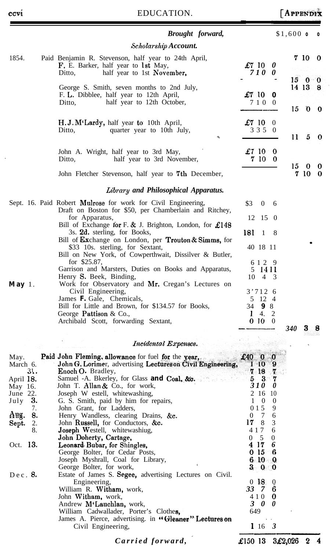|                                                                                                                                                       | Brought forward,                                                                                                                                                                                                                                                                                                                                                                                                                                                                                                                                                                                                                                                                                                                                                                                                                                                                                                                                                                                                                                                                                                                                                                                                                                                                                                                                                                                                                                            |                                                                                                                                                                                                                                                                                                                                                                                                                                                                                                                     | $$1,600$ o |                                | $\circ$ |
|-------------------------------------------------------------------------------------------------------------------------------------------------------|-------------------------------------------------------------------------------------------------------------------------------------------------------------------------------------------------------------------------------------------------------------------------------------------------------------------------------------------------------------------------------------------------------------------------------------------------------------------------------------------------------------------------------------------------------------------------------------------------------------------------------------------------------------------------------------------------------------------------------------------------------------------------------------------------------------------------------------------------------------------------------------------------------------------------------------------------------------------------------------------------------------------------------------------------------------------------------------------------------------------------------------------------------------------------------------------------------------------------------------------------------------------------------------------------------------------------------------------------------------------------------------------------------------------------------------------------------------|---------------------------------------------------------------------------------------------------------------------------------------------------------------------------------------------------------------------------------------------------------------------------------------------------------------------------------------------------------------------------------------------------------------------------------------------------------------------------------------------------------------------|------------|--------------------------------|---------|
|                                                                                                                                                       | Scholarship Account.                                                                                                                                                                                                                                                                                                                                                                                                                                                                                                                                                                                                                                                                                                                                                                                                                                                                                                                                                                                                                                                                                                                                                                                                                                                                                                                                                                                                                                        |                                                                                                                                                                                                                                                                                                                                                                                                                                                                                                                     |            |                                |         |
| 1854.                                                                                                                                                 | Paid Benjamin R. Stevenson, half year to 24th April,<br>F. E. Barker, half year to 1st May,<br>half year to 1st November,<br>Ditto,                                                                                                                                                                                                                                                                                                                                                                                                                                                                                                                                                                                                                                                                                                                                                                                                                                                                                                                                                                                                                                                                                                                                                                                                                                                                                                                         | £710<br>$\theta$<br>710 O                                                                                                                                                                                                                                                                                                                                                                                                                                                                                           |            | 7 10 0                         |         |
|                                                                                                                                                       | George S. Smith, seven months to 2nd July,<br>F. L. Dibblee, half year to 12th April,<br>half year to 12th October,<br>Ditto,                                                                                                                                                                                                                                                                                                                                                                                                                                                                                                                                                                                                                                                                                                                                                                                                                                                                                                                                                                                                                                                                                                                                                                                                                                                                                                                               | £710<br>0<br>7 1 0 0                                                                                                                                                                                                                                                                                                                                                                                                                                                                                                | 15         | 15000<br>14 13 8<br>$0\quad 0$ |         |
|                                                                                                                                                       | H.J. M'Lardy, half year to 10th April,<br>quarter year to 10th July,<br>Ditto,                                                                                                                                                                                                                                                                                                                                                                                                                                                                                                                                                                                                                                                                                                                                                                                                                                                                                                                                                                                                                                                                                                                                                                                                                                                                                                                                                                              | $\pounds 7$ 10<br>$\theta$<br>3 3 5 0                                                                                                                                                                                                                                                                                                                                                                                                                                                                               | 11         | 5                              | -0      |
|                                                                                                                                                       | John A. Wright, half year to 3rd May,<br>half year to 3rd November,<br>Ditto,                                                                                                                                                                                                                                                                                                                                                                                                                                                                                                                                                                                                                                                                                                                                                                                                                                                                                                                                                                                                                                                                                                                                                                                                                                                                                                                                                                               | £7 10 0<br>7 10 0                                                                                                                                                                                                                                                                                                                                                                                                                                                                                                   |            |                                |         |
|                                                                                                                                                       | John Fletcher Stevenson, half year to <b>7th</b> December,                                                                                                                                                                                                                                                                                                                                                                                                                                                                                                                                                                                                                                                                                                                                                                                                                                                                                                                                                                                                                                                                                                                                                                                                                                                                                                                                                                                                  |                                                                                                                                                                                                                                                                                                                                                                                                                                                                                                                     | 15         | 0<br>7 10                      | 0<br>0  |
|                                                                                                                                                       | Library and Philosophical Apparatus.                                                                                                                                                                                                                                                                                                                                                                                                                                                                                                                                                                                                                                                                                                                                                                                                                                                                                                                                                                                                                                                                                                                                                                                                                                                                                                                                                                                                                        |                                                                                                                                                                                                                                                                                                                                                                                                                                                                                                                     |            |                                |         |
| May 1.<br>May.<br>March 6.<br>31.<br>April 18.<br>May 16.<br>June 22.<br>- 3.<br>July<br>7.<br>Aug.<br>8.<br>2.<br>Sept.<br>8.<br>Oct. 13.<br>Dec. 8. | Sept. 16. Paid Robert Mulrose for work for Civil Engineering,<br>Draft on Boston for \$50, per Chamberlain and Ritchey,<br>for Apparatus,<br>Bill of Exchange for F. & J. Brighton, London, for £148<br>3s. 2d. sterling, for Books,<br>Bill of Exchange on London, per Trouton & Simms, for<br>\$33 10s. sterling, for Sextant,<br>Bill on New York, of Cowperthwait, Dissilver & Butler,<br>for \$25.87,<br>Garrison and Marsters, Duties on Books and Apparatus,<br>Henry S. Beek, Binding,<br>Work for Observatory and Mr. Cregan's Lectures on<br>Civil Engineering,<br>James F. Gale, Chemicals,<br>Bill for Little and Brown, for \$134.57 for Books,<br>George Pattison & Co.,<br>Archibald Scott, forwarding Sextant,<br>Incidental Expenses.<br>Paid John Fleming, allowance for fuel for the year,<br>John G. Lorimer, advertising Lectureson Civil Engineering,<br><b>Enoch O.</b> Bradley,<br>Samuel -A. Bkerley, for Glass and Coal, &c.<br>John T. Allan $\&$ Co., for work,<br>Joseph W estell, whitewashing,<br>G. S. Smith, paid by him for repairs,<br>John Grant, for Ladders,<br>Henry Wandless, clearing Drains, &c.<br>John Russell, for Conductors, &c.<br>Joseph Westell, whitewashiug,<br>John Doherty, Cartage,<br>Leonard Bubar, for Shingles,<br>George Bolter, for Cedar Posts,<br>Joseph Myshrall, Coal for Library,<br>George Bolter, for work,<br>Estate of James S. Segee, advertising Lectures on Civil.<br>Engineering, | \$3<br>$\mathbf{0}$<br>- 6<br>$12 \t15 \t0$<br>181<br>-1<br>8<br>40 18 11<br>6 1 2 9<br>5 14 11<br>$10 \t 4 \t 3$<br>3'7126<br>5 12 4<br>34 9 8<br>1, 4, 2<br>010<br>$\overline{\phantom{0}}$<br>$£40$ 0<br>$\mathbf 0$<br>$\theta$<br>$1\,10$<br>7 18<br>Ч<br>$5-3$<br>7<br>310<br>0<br>2 16 10<br>$\mathbf{1}$<br>$\overline{0}$<br>$\overline{0}$<br>015<br>9<br>0<br>7<br>6<br>8<br>17<br>3<br>4 1 7<br>6<br>5<br>$\overline{0}$<br>0<br>4 17<br>6<br>0 <sub>15</sub><br>- 6<br>610Q<br>300<br>$0 \,$ 1.8.<br>0 | 340        | 3                              |         |
|                                                                                                                                                       | William R. Witham, work,<br>John Witham, work,<br>Andrew M'Lauchlan, work,<br>William Cadwallader, Porter's Clothes,<br>James A. Pierce, advertising. in "Gleaner" Lectures on<br>Civil Engineering,                                                                                                                                                                                                                                                                                                                                                                                                                                                                                                                                                                                                                                                                                                                                                                                                                                                                                                                                                                                                                                                                                                                                                                                                                                                        | 33 7<br>4 1 0<br>Ø<br>$3\quad0$<br>$\theta$<br>649<br>1163                                                                                                                                                                                                                                                                                                                                                                                                                                                          |            |                                |         |

*Carried forward, \**

£150 13 3£2,026 2 4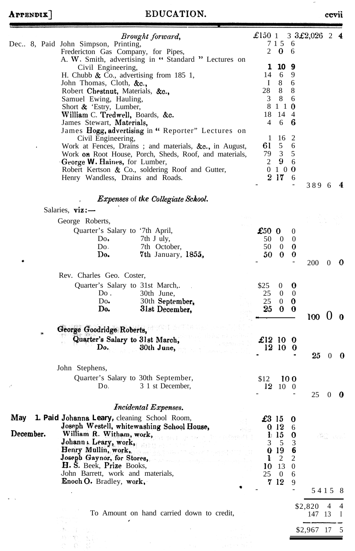# APPENDIX]

 $\cdot$ 

## EDUCATION.

|           | Brought forward,<br>Dec., 8, Paid John Simpson, Printing,                                                        | £150 $1$       | 7 1 5 6                          |                       | 3 $3\pounds2,026$ 2 4 |          |     |
|-----------|------------------------------------------------------------------------------------------------------------------|----------------|----------------------------------|-----------------------|-----------------------|----------|-----|
|           | Fredericton Gas Company, for Pipes,                                                                              | $\overline{2}$ | $\bf{0}$                         | 6                     |                       |          |     |
|           | A. W. Smith, advertising in "Standard " Lectures on                                                              | 1              | 10                               | 9                     |                       |          |     |
|           | Civil Engineering,<br>H. Chubb & Co., advertising from $185$ 1,                                                  | 14             | 6                                | 9                     |                       |          |     |
|           | John Thomas, Cloth, &c.,                                                                                         | I              | 8                                | 6                     |                       |          |     |
|           | Robert Chestnut, Materials, &c.,<br>Samuel Ewing, Hauling,                                                       | 28<br>3        | 8<br>8                           | 8<br>6                |                       |          |     |
|           | Short & 'Estry, Lumber,                                                                                          |                | 8 1 1 0                          |                       |                       |          |     |
|           | William C. Tredwell, Boards, &c.<br>James Stewart, Materials,                                                    | 18<br>4        | 14 4<br>6                        | 6                     |                       |          |     |
|           | James Hogg, advertising in " Reporter" Lectures on                                                               |                |                                  |                       |                       |          |     |
|           | Civil Engineering,                                                                                               | 1              | 16                               | 2                     |                       |          |     |
|           | Work at Fences, Drains; and materials, &c., in August,<br>Work on Root House, Porch, Sheds, Roof, and materials, | 61<br>79       | 5<br>$\overline{3}$              | 6<br>5                |                       |          |     |
|           | George W. Haines, for Lumber,                                                                                    | 2              | 9                                | 6                     |                       |          |     |
|           | Robert Kertson & Co., soldering Roof and Gutter,<br>Henry Wandless, Drains and Roads.                            |                | 0100<br>217                      | 6                     |                       |          |     |
|           |                                                                                                                  |                |                                  |                       | 389 6                 |          | 4   |
|           | <b>Expenses of the Collegiate School.</b>                                                                        |                |                                  |                       |                       |          |     |
|           | Salaries, $\boldsymbol{viz}$ :-                                                                                  |                |                                  |                       |                       |          |     |
|           | George Roberts,                                                                                                  |                |                                  |                       |                       |          |     |
|           | Quarter's Salary to '7th April,                                                                                  | £500           |                                  | 0                     |                       |          |     |
|           | 7th J uly,<br>Do.<br>Do.<br>7th October,                                                                         | 50<br>50       | $\overline{0}$<br>$\overline{0}$ | $\boldsymbol{0}$<br>0 |                       |          |     |
|           | Do.<br>7th January, 1855,                                                                                        | 50             | - 0                              | $\bf{0}$              |                       |          |     |
|           |                                                                                                                  |                |                                  |                       | <b>200</b>            | $\theta$ | - 0 |
|           | Rev. Charles Geo. Coster,<br>Quarter's Salary to 31st March,.                                                    | \$25           | $\boldsymbol{0}$                 | $\boldsymbol{0}$      |                       |          |     |
|           | Do.<br>30th June,                                                                                                | 25             | $\overline{0}$                   | $\mathbf{0}$          |                       |          |     |
|           | Do.<br>30th September,<br>Do.                                                                                    | 25<br>25       | $\bf{0}$<br>$\bf{0}$             | $\bf{0}$              |                       |          |     |
|           | 31st December,                                                                                                   |                |                                  | $\boldsymbol{\theta}$ | 100                   | 0        | - 0 |
|           | George Goodridge Roberts,                                                                                        |                |                                  |                       |                       |          |     |
|           | Quarter's Salary to 31st March,                                                                                  | £12 10 0       |                                  |                       |                       |          |     |
|           | Do.<br>30th June,                                                                                                |                | 12 10                            | O                     | 25                    | $\theta$ |     |
|           | John Stephens,                                                                                                   |                |                                  |                       |                       |          |     |
|           | Quarter's Salary to 30th September,                                                                              | \$12           |                                  | 100                   |                       |          |     |
|           | Do.<br>3 1 st December,                                                                                          | 12             | 10 0                             |                       |                       |          |     |
|           |                                                                                                                  |                |                                  |                       | 25                    | $\theta$ | O   |
|           | <b>Incidental Expenses.</b><br>May 1. Paid Johanna Leary, cleaning School Room,                                  | £3 15          |                                  |                       |                       |          |     |
|           | Joseph Westell, whitewashing School House,                                                                       |                | 0 <sub>12</sub>                  | o<br>6                |                       |          |     |
| December. | William R. Witham, work,<br>.<br>43 december - Partija Pilipinas (m. 1918)                                       | Ð.             | 15                               | 0                     | 7화인                   |          |     |
|           | Johann Leary, work,<br>Henry Mullin, work,<br>Quality of the system of the                                       | 3<br>₩         | 5<br>-19                         | 3<br>6                |                       |          |     |
|           | Joseph Gaynor, for Stores,                                                                                       | k              | $\overline{c}$                   | 2                     |                       |          |     |
|           | H. S. Beek, Prize Books,<br>John Barrett, work and materials,                                                    | 10<br>25       | 13<br>$\overline{0}$             | $\boldsymbol{0}$<br>6 |                       |          |     |
|           | Enoch O. Bradley, work,                                                                                          |                | 7 12                             | 9                     |                       |          |     |
|           |                                                                                                                  |                |                                  |                       | 54158                 |          |     |
|           |                                                                                                                  |                |                                  |                       | \$2,820               | 4        | 4   |
|           | To Amount on hand carried down to credit,                                                                        |                |                                  |                       | 147 13                |          | I   |
|           |                                                                                                                  |                |                                  |                       | \$2,967               | -17      | 5   |
|           |                                                                                                                  |                |                                  |                       |                       |          |     |
|           |                                                                                                                  |                |                                  |                       |                       |          |     |

ccvii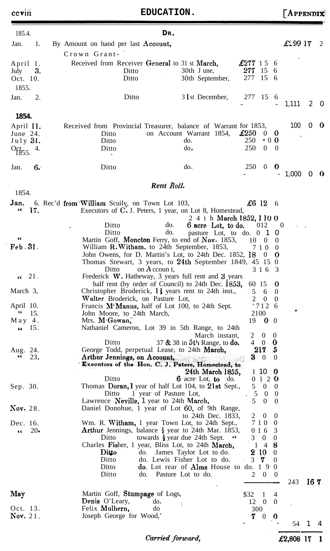| 185.4.                                 |       |                                                                                                                       | DR.                                                                                  |                                                                           |          |                                |
|----------------------------------------|-------|-----------------------------------------------------------------------------------------------------------------------|--------------------------------------------------------------------------------------|---------------------------------------------------------------------------|----------|--------------------------------|
| Jan.                                   | 1.    | By Amount on hand per last Account,                                                                                   |                                                                                      |                                                                           | £299 17  | 2                              |
|                                        |       | Crown Grant-                                                                                                          |                                                                                      |                                                                           |          |                                |
| April 1.                               |       | Received from Receiver General to 31 st March,                                                                        |                                                                                      | $\pounds277$ 15 6                                                         |          |                                |
| July                                   | 3.    | Ditto                                                                                                                 | 30th J une,                                                                          | $277 \t15 \t6$<br>277<br>15 6                                             |          |                                |
| Oct. 10.                               |       | Ditto                                                                                                                 | 30th September,                                                                      |                                                                           |          |                                |
| 1855.                                  |       |                                                                                                                       |                                                                                      |                                                                           |          |                                |
| Jan.                                   | 2.    | Ditto                                                                                                                 | 3 l st December,                                                                     | 277 15 6<br>$\overline{\phantom{a}}$                                      | 1,111    | 2<br>$\cup$                    |
| 1854.                                  |       |                                                                                                                       |                                                                                      |                                                                           |          |                                |
| April 11.                              |       | Received from Provincial Treasurer, balance of Warrant for 1853,                                                      |                                                                                      |                                                                           | 100      | $\mathbf{0}$<br>$\overline{0}$ |
| June $24$ .                            |       | Ditto                                                                                                                 | on Account Warrant 1854,                                                             | $\pounds 250$<br>$0\quad 0$                                               |          |                                |
| July 31.                               |       | Ditto<br>Ditto                                                                                                        | do.<br>do.                                                                           | 250<br>$\cdot$ 0 0<br>250<br>$0\quad 0$                                   |          |                                |
| $Oct_{855}$ 4.                         |       |                                                                                                                       |                                                                                      |                                                                           |          |                                |
| Jan.                                   | 6.    | Ditto                                                                                                                 | $d\sigma$ .                                                                          | 250<br>$\overline{0}$<br>$\bf{0}$                                         |          |                                |
|                                        |       |                                                                                                                       | Rent Roll.                                                                           |                                                                           | 1,000    | $\bullet$<br>$\theta$          |
| 1854.                                  |       |                                                                                                                       |                                                                                      |                                                                           |          |                                |
| Jan.                                   |       | 6. Rec'd from William Scuily, on Town Lot 103,                                                                        |                                                                                      | $\pounds 6$ 12 6                                                          |          |                                |
| 66                                     | 17.   | Executors of C. J. Peters, 1 year, on Lot 8, Homestead,                                                               | 2 4 t h March 1852, 1 10 0                                                           |                                                                           |          |                                |
|                                        |       | Ditto                                                                                                                 | do.<br>6 acre Lot, to do.                                                            | 012                                                                       | $\theta$ |                                |
|                                        |       | Ditto                                                                                                                 | do.<br>pasture Lot, to do. 0 1                                                       | $\theta$                                                                  |          |                                |
| 66                                     |       | Martin Goff, Moncton Ferry, to end of Nov. 1853,                                                                      |                                                                                      | 10<br>$\theta$<br>$\theta$                                                |          |                                |
| Feb. 31.                               |       | William R. Witham. to 24th September, 1853,<br>John Owens, for D. Martin's Lot, to 24th Dec. 1852, 18                 |                                                                                      | 710<br>$\theta$<br>0<br>$\mathbf{0}$                                      |          |                                |
|                                        |       | Thomas Stewart, 3 years, to $24th$ September 1849, 45 15 0                                                            |                                                                                      |                                                                           |          |                                |
|                                        |       | on $A$ ccoun t,<br>Ditto                                                                                              |                                                                                      | 3 1 6<br>- 3                                                              |          |                                |
| $\left( \cdot \right)$ 21.             |       | Frederick W. Hatheway, 3 years full rent and 3 years                                                                  |                                                                                      |                                                                           |          |                                |
| March 3,                               |       | half rent (by order of Council) to 24th Dec. 1853,<br>Christopher Broderick, $l\frac{1}{2}$ years rent to 24th inst., |                                                                                      | 60 15<br>$\bf{0}$<br>5<br>6<br>$\theta$                                   |          |                                |
|                                        |       | Walter Broderick, on Pasture Lot,                                                                                     |                                                                                      | $\overline{2}$<br>$\theta$<br>$\theta$                                    |          |                                |
| April 10.                              |       | Francis M'Manus, half of Lot 100, to 24th Sept.                                                                       |                                                                                      | '7126                                                                     |          |                                |
| \$6                                    | 15.   | John Moore, to 24th March,                                                                                            |                                                                                      | 2100                                                                      |          |                                |
| May 4.<br>15.<br>$\epsilon$ $\epsilon$ |       | Mrs. M. Gowan,<br>Nathaniel Cameron, Lot 39 in 5th Range, to 24th                                                     |                                                                                      | 19 <b>0</b> 0                                                             |          |                                |
|                                        |       |                                                                                                                       | March instant,                                                                       | 2<br>$0\quad 0$                                                           |          |                                |
|                                        |       | Ditto                                                                                                                 | 37 & 38 in 5th Range, to do.                                                         | $4 \quad 0 \quad 0$                                                       |          |                                |
| Aug. 24.<br>66                         |       | George Todd, perpetual Lease, to 24th March,                                                                          |                                                                                      | 217, 5                                                                    |          |                                |
|                                        | 23.   | Arthur Jennings, on Account,<br>Executors of the Hon. C. J. Peters, Homestead, to                                     | ad an a                                                                              | $3 \quad 0$<br>$\theta$                                                   |          |                                |
|                                        |       |                                                                                                                       | 24th March 1855,                                                                     | $1\,10\,$ 0                                                               |          |                                |
|                                        |       | Ditto                                                                                                                 | $6 \text{ acre}$ Lot, to do.                                                         | 0120                                                                      |          |                                |
| Sep. 30.                               |       | Thomas Doran, I year of half Lot 104, to 21st Sept.,                                                                  |                                                                                      | 5 0 0                                                                     |          |                                |
|                                        |       | 1 year of Pasture Lot,<br>Ditto<br>Lawrence Neville, 1 year to 24th March,                                            |                                                                                      | $\overline{5}$<br>$\overline{0}$<br>$\theta$<br>5<br>$\theta$<br>$\theta$ |          |                                |
| Nov. 28.                               |       | Daniel Donohue, 1 year of Lot 60, of 9th Range,                                                                       |                                                                                      |                                                                           |          |                                |
|                                        |       |                                                                                                                       | to 24th Dec. 1833,                                                                   | 2<br>$\theta$<br>$\theta$                                                 |          |                                |
| Dec. 16.                               |       | Wm. R. Witham, 1 year Town Lot, to 24th Sept.,                                                                        |                                                                                      | 710<br>$\theta$                                                           |          |                                |
| $\epsilon$                             | $20-$ | <b>Arthur</b> Jennings, balance $\frac{1}{2}$ year to 24th Mar. 1853,<br>Ditto                                        | towards $\frac{1}{2}$ year due 24th Sept. "                                          | 3<br>0 1 6<br>$3^{\circ}$<br>$\theta$<br>$\boldsymbol{0}$                 |          |                                |
|                                        |       | Charles Fisher, 1 year, Bliss Lot, to 24th March,                                                                     |                                                                                      | $1\quad 4$<br>8                                                           |          |                                |
|                                        |       | Ditto                                                                                                                 | do. James Taylor Lot to do.                                                          | 2 10<br>$\theta$                                                          |          |                                |
|                                        |       | Ditto                                                                                                                 | do. Lewis Fisher Lot to do.                                                          | 7<br>$\overline{0}$<br>3                                                  |          |                                |
|                                        |       | Ditto<br>Ditto                                                                                                        | $\phi$ . Lot rear of <b>Alms</b> House to $\phi$ and 1 9 0<br>do. Pasture Lot to do. | $\overline{0}$<br>2<br>$\theta$                                           |          |                                |
|                                        |       |                                                                                                                       |                                                                                      |                                                                           | 243      | 167                            |
| May                                    |       | Martin Goff, Stumpage of Logs,                                                                                        |                                                                                      | \$32<br>$\overline{1}$<br>4                                               |          |                                |
|                                        |       | Denis O'Leary,<br>do.                                                                                                 |                                                                                      | $12 \quad 0 \quad 0$                                                      |          |                                |
| Oct. 13.                               |       | Felix Mulhern,<br>do                                                                                                  |                                                                                      | 300                                                                       |          |                                |
| <b>Nov.</b> 21.                        |       | Joseph George for Wood,'                                                                                              |                                                                                      | 7<br>0<br>$\theta$                                                        |          |                                |
|                                        |       |                                                                                                                       |                                                                                      |                                                                           | 54 1     | 4                              |

Carried forward,

£2,808  $17 - 1$